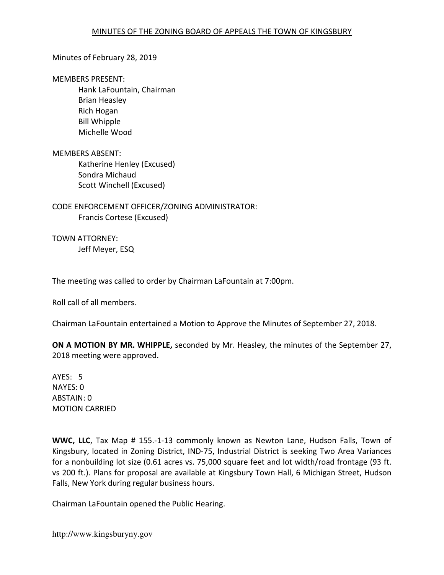### Minutes of February 28, 2019

#### MEMBERS PRESENT:

 Hank LaFountain, Chairman Brian Heasley Rich Hogan Bill Whipple Michelle Wood

#### MEMBERS ABSENT:

 Katherine Henley (Excused) Sondra Michaud Scott Winchell (Excused)

CODE ENFORCEMENT OFFICER/ZONING ADMINISTRATOR: Francis Cortese (Excused)

TOWN ATTORNEY: Jeff Meyer, ESQ

The meeting was called to order by Chairman LaFountain at 7:00pm.

Roll call of all members.

Chairman LaFountain entertained a Motion to Approve the Minutes of September 27, 2018.

ON A MOTION BY MR. WHIPPLE, seconded by Mr. Heasley, the minutes of the September 27, 2018 meeting were approved.

AYES: 5 NAYES: 0 ABSTAIN: 0 MOTION CARRIED

WWC, LLC, Tax Map # 155.-1-13 commonly known as Newton Lane, Hudson Falls, Town of Kingsbury, located in Zoning District, IND-75, Industrial District is seeking Two Area Variances for a nonbuilding lot size (0.61 acres vs. 75,000 square feet and lot width/road frontage (93 ft. vs 200 ft.). Plans for proposal are available at Kingsbury Town Hall, 6 Michigan Street, Hudson Falls, New York during regular business hours.

Chairman LaFountain opened the Public Hearing.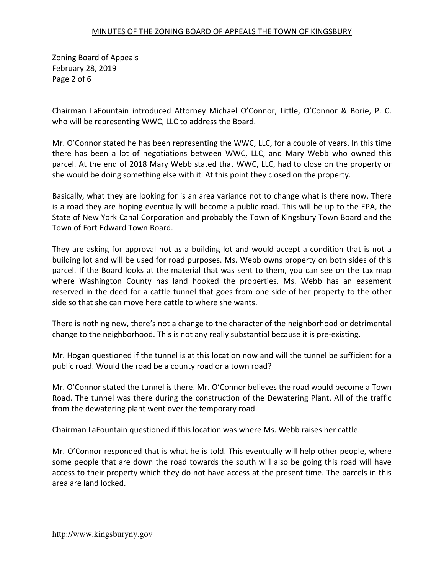Zoning Board of Appeals February 28, 2019 Page 2 of 6

Chairman LaFountain introduced Attorney Michael O'Connor, Little, O'Connor & Borie, P. C. who will be representing WWC, LLC to address the Board.

Mr. O'Connor stated he has been representing the WWC, LLC, for a couple of years. In this time there has been a lot of negotiations between WWC, LLC, and Mary Webb who owned this parcel. At the end of 2018 Mary Webb stated that WWC, LLC, had to close on the property or she would be doing something else with it. At this point they closed on the property.

Basically, what they are looking for is an area variance not to change what is there now. There is a road they are hoping eventually will become a public road. This will be up to the EPA, the State of New York Canal Corporation and probably the Town of Kingsbury Town Board and the Town of Fort Edward Town Board.

They are asking for approval not as a building lot and would accept a condition that is not a building lot and will be used for road purposes. Ms. Webb owns property on both sides of this parcel. If the Board looks at the material that was sent to them, you can see on the tax map where Washington County has land hooked the properties. Ms. Webb has an easement reserved in the deed for a cattle tunnel that goes from one side of her property to the other side so that she can move here cattle to where she wants.

There is nothing new, there's not a change to the character of the neighborhood or detrimental change to the neighborhood. This is not any really substantial because it is pre-existing.

Mr. Hogan questioned if the tunnel is at this location now and will the tunnel be sufficient for a public road. Would the road be a county road or a town road?

Mr. O'Connor stated the tunnel is there. Mr. O'Connor believes the road would become a Town Road. The tunnel was there during the construction of the Dewatering Plant. All of the traffic from the dewatering plant went over the temporary road.

Chairman LaFountain questioned if this location was where Ms. Webb raises her cattle.

Mr. O'Connor responded that is what he is told. This eventually will help other people, where some people that are down the road towards the south will also be going this road will have access to their property which they do not have access at the present time. The parcels in this area are land locked.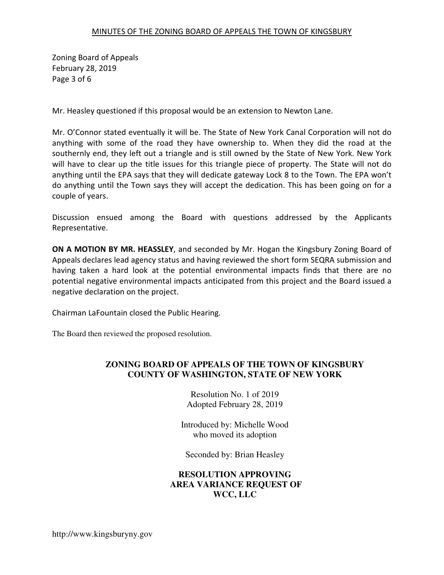Zoning Board of Appeals February 28, 2019 Page 3 of 6

Mr. Heasley questioned if this proposal would be an extension to Newton Lane.

Mr. O'Connor stated eventually it will be. The State of New York Canal Corporation will not do anything with some of the road they have ownership to. When they did the road at the southernly end, they left out a triangle and is still owned by the State of New York. New York will have to clear up the title issues for this triangle piece of property. The State will not do anything until the EPA says that they will dedicate gateway Lock 8 to the Town. The EPA won't do anything until the Town says they will accept the dedication. This has been going on for a couple of years.

Discussion ensued among the Board with questions addressed by the Applicants Representative.

ON A MOTION BY MR. HEASSLEY, and seconded by Mr. Hogan the Kingsbury Zoning Board of Appeals declares lead agency status and having reviewed the short form SEQRA submission and having taken a hard look at the potential environmental impacts finds that there are no potential negative environmental impacts anticipated from this project and the Board issued a negative declaration on the project.

Chairman LaFountain closed the Public Hearing.

The Board then reviewed the proposed resolution.

## **ZONING BOARD OF APPEALS OF THE TOWN OF KINGSBURY COUNTY OF WASHINGTON, STATE OF NEW YORK**

Resolution No. 1 of 2019 Adopted February 28, 2019

Introduced by: Michelle Wood who moved its adoption

Seconded by: Brian Heasley

# **RESOLUTION APPROVING AREA VARIANCE REQUEST OF WCC, LLC**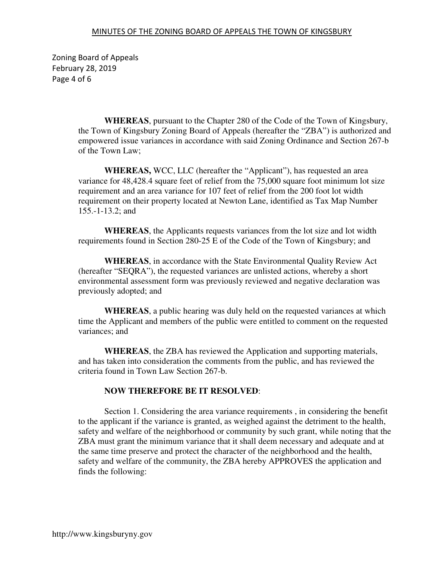Zoning Board of Appeals February 28, 2019 Page 4 of 6

> **WHEREAS**, pursuant to the Chapter 280 of the Code of the Town of Kingsbury, the Town of Kingsbury Zoning Board of Appeals (hereafter the "ZBA") is authorized and empowered issue variances in accordance with said Zoning Ordinance and Section 267-b of the Town Law;

**WHEREAS,** WCC, LLC (hereafter the "Applicant"), has requested an area variance for 48,428.4 square feet of relief from the 75,000 square foot minimum lot size requirement and an area variance for 107 feet of relief from the 200 foot lot width requirement on their property located at Newton Lane, identified as Tax Map Number 155.-1-13.2; and

**WHEREAS**, the Applicants requests variances from the lot size and lot width requirements found in Section 280-25 E of the Code of the Town of Kingsbury; and

**WHEREAS**, in accordance with the State Environmental Quality Review Act (hereafter "SEQRA"), the requested variances are unlisted actions, whereby a short environmental assessment form was previously reviewed and negative declaration was previously adopted; and

**WHEREAS**, a public hearing was duly held on the requested variances at which time the Applicant and members of the public were entitled to comment on the requested variances; and

**WHEREAS**, the ZBA has reviewed the Application and supporting materials, and has taken into consideration the comments from the public, and has reviewed the criteria found in Town Law Section 267-b.

# **NOW THEREFORE BE IT RESOLVED**:

 Section 1. Considering the area variance requirements , in considering the benefit to the applicant if the variance is granted, as weighed against the detriment to the health, safety and welfare of the neighborhood or community by such grant, while noting that the ZBA must grant the minimum variance that it shall deem necessary and adequate and at the same time preserve and protect the character of the neighborhood and the health, safety and welfare of the community, the ZBA hereby APPROVES the application and finds the following: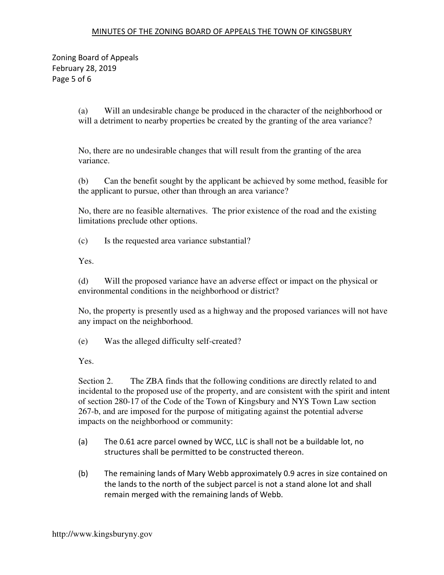Zoning Board of Appeals February 28, 2019 Page 5 of 6

> (a) Will an undesirable change be produced in the character of the neighborhood or will a detriment to nearby properties be created by the granting of the area variance?

No, there are no undesirable changes that will result from the granting of the area variance.

(b) Can the benefit sought by the applicant be achieved by some method, feasible for the applicant to pursue, other than through an area variance?

No, there are no feasible alternatives. The prior existence of the road and the existing limitations preclude other options.

(c) Is the requested area variance substantial?

Yes.

(d) Will the proposed variance have an adverse effect or impact on the physical or environmental conditions in the neighborhood or district?

No, the property is presently used as a highway and the proposed variances will not have any impact on the neighborhood.

(e) Was the alleged difficulty self-created?

Yes.

Section 2. The ZBA finds that the following conditions are directly related to and incidental to the proposed use of the property, and are consistent with the spirit and intent of section 280-17 of the Code of the Town of Kingsbury and NYS Town Law section 267-b, and are imposed for the purpose of mitigating against the potential adverse impacts on the neighborhood or community:

- (a) The 0.61 acre parcel owned by WCC, LLC is shall not be a buildable lot, no structures shall be permitted to be constructed thereon.
- (b) The remaining lands of Mary Webb approximately 0.9 acres in size contained on the lands to the north of the subject parcel is not a stand alone lot and shall remain merged with the remaining lands of Webb.